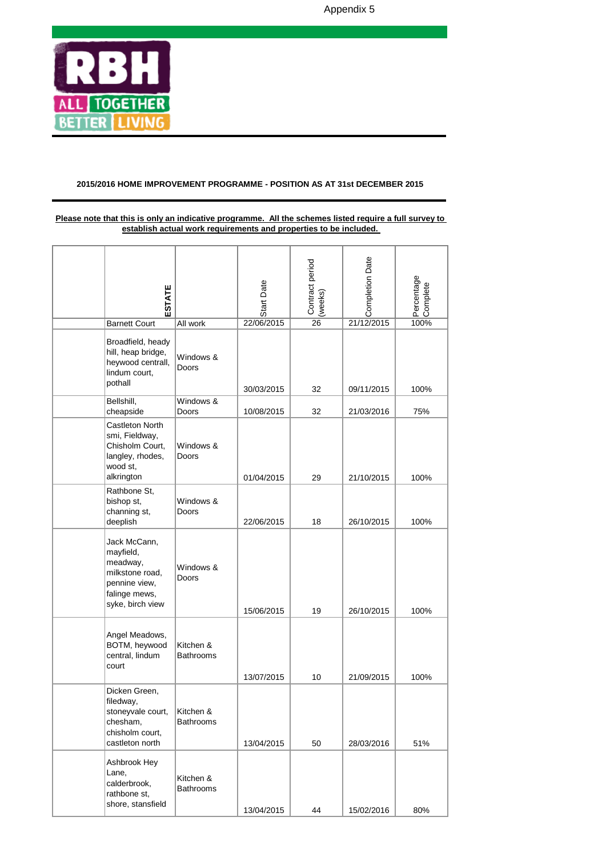

## **2015/2016 HOME IMPROVEMENT PROGRAMME - POSITION AS AT 31st DECEMBER 2015**

## **Please note that this is only an indicative programme. All the schemes listed require a full survey to establish actual work requirements and properties to be included.**

| ESTATE                                                                                                         |                               | <b>Start Date</b> | Contract period<br>(weeks) | Completion Date | Percentage<br>a<br>Somplete |
|----------------------------------------------------------------------------------------------------------------|-------------------------------|-------------------|----------------------------|-----------------|-----------------------------|
| <b>Barnett Court</b>                                                                                           | All work                      | 22/06/2015        | $\overline{26}$            | 21/12/2015      |                             |
| Broadfield, heady<br>hill, heap bridge,<br>heywood centrall,<br>lindum court,<br>pothall                       | Windows &<br>Doors            | 30/03/2015        | 32                         | 09/11/2015      | 100%                        |
| Bellshill,<br>cheapside                                                                                        | Windows &<br>Doors            | 10/08/2015        | 32                         | 21/03/2016      | 75%                         |
| Castleton North<br>smi, Fieldway,<br>Chisholm Court,<br>langley, rhodes,<br>wood st,<br>alkrington             | Windows &<br><b>Doors</b>     | 01/04/2015        | 29                         | 21/10/2015      | 100%                        |
| Rathbone St.<br>bishop st,<br>channing st,<br>deeplish                                                         | Windows &<br>Doors            | 22/06/2015        | 18                         | 26/10/2015      | 100%                        |
| Jack McCann,<br>mayfield,<br>meadway,<br>milkstone road,<br>pennine view,<br>falinge mews,<br>syke, birch view | Windows &<br>Doors            | 15/06/2015        | 19                         | 26/10/2015      | 100%                        |
| Angel Meadows,<br>BOTM, heywood<br>central, lindum<br>court                                                    | Kitchen &<br><b>Bathrooms</b> | 13/07/2015        | 10                         | 21/09/2015      | 100%                        |
| Dicken Green,<br>filedway,<br>stoneyvale court,<br>chesham,<br>chisholm court,<br>castleton north              | Kitchen &<br><b>Bathrooms</b> | 13/04/2015        | 50                         | 28/03/2016      | 51%                         |
| Ashbrook Hey<br>Lane,<br>calderbrook,<br>rathbone st,<br>shore, stansfield                                     | Kitchen &<br><b>Bathrooms</b> | 13/04/2015        | 44                         | 15/02/2016      | 80%                         |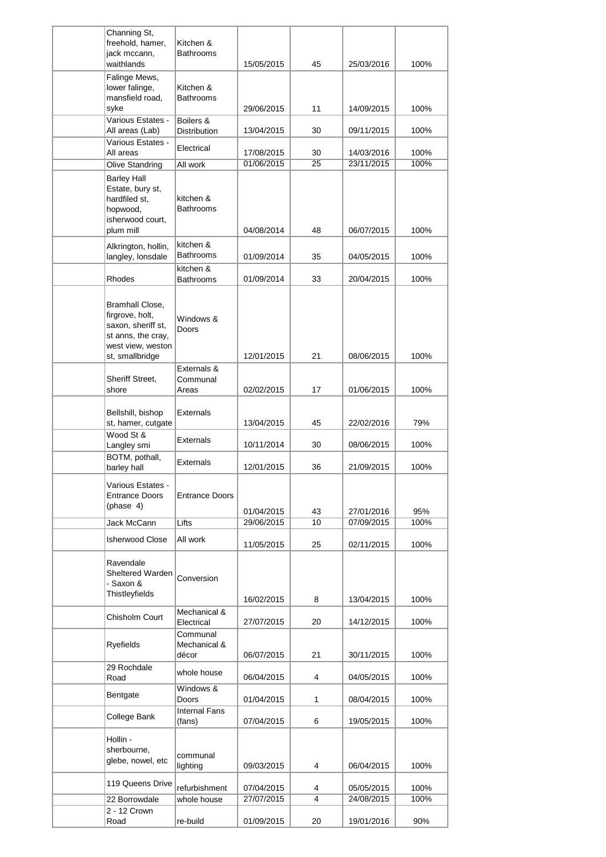| Channing St,<br>freehold, hamer,                                                                                       | Kitchen &                              |            |    |            |      |
|------------------------------------------------------------------------------------------------------------------------|----------------------------------------|------------|----|------------|------|
| jack mccann,<br>waithlands                                                                                             | Bathrooms                              | 15/05/2015 | 45 | 25/03/2016 | 100% |
| Falinge Mews,<br>lower falinge,<br>mansfield road,                                                                     | Kitchen &<br>Bathrooms                 |            |    |            |      |
| syke<br>Various Estates -                                                                                              | Boilers &                              | 29/06/2015 | 11 | 14/09/2015 | 100% |
| All areas (Lab)                                                                                                        | <b>Distribution</b>                    | 13/04/2015 | 30 | 09/11/2015 | 100% |
| Various Estates -<br>All areas                                                                                         | Electrical                             | 17/08/2015 | 30 | 14/03/2016 | 100% |
| Olive Standring                                                                                                        | All work                               | 01/06/2015 | 25 | 23/11/2015 | 100% |
| <b>Barley Hall</b><br>Estate, bury st,<br>hardfiled st.<br>hopwood,<br>isherwood court,<br>plum mill                   | kitchen &<br><b>Bathrooms</b>          | 04/08/2014 | 48 | 06/07/2015 | 100% |
| Alkrington, hollin,                                                                                                    | kitchen &                              |            |    |            |      |
| langley, lonsdale                                                                                                      | Bathrooms                              | 01/09/2014 | 35 | 04/05/2015 | 100% |
| Rhodes                                                                                                                 | kitchen &<br><b>Bathrooms</b>          | 01/09/2014 | 33 | 20/04/2015 | 100% |
| Bramhall Close,<br>firgrove, holt,<br>saxon, sheriff st,<br>st anns, the cray,<br>west view, weston<br>st, smallbridge | Windows &<br>Doors                     | 12/01/2015 | 21 | 08/06/2015 | 100% |
|                                                                                                                        | Externals &                            |            |    |            |      |
| Sheriff Street,<br>shore                                                                                               | Communal<br>Areas                      | 02/02/2015 | 17 | 01/06/2015 | 100% |
| Bellshill, bishop<br>st, hamer, cutgate                                                                                | Externals                              | 13/04/2015 | 45 | 22/02/2016 | 79%  |
| Wood St &<br>Langley smi                                                                                               | <b>Externals</b>                       | 10/11/2014 | 30 | 08/06/2015 | 100% |
| BOTM, pothall,<br>barley hall                                                                                          | Externals                              | 12/01/2015 | 36 | 21/09/2015 | 100% |
| Various Estates -<br><b>Entrance Doors</b><br>(phase 4)                                                                | <b>Entrance Doors</b>                  | 01/04/2015 | 43 | 27/01/2016 | 95%  |
| Jack McCann                                                                                                            | Lifts                                  | 29/06/2015 | 10 | 07/09/2015 | 100% |
| <b>Isherwood Close</b>                                                                                                 | All work                               | 11/05/2015 | 25 | 02/11/2015 | 100% |
| Ravendale<br>Sheltered Warden<br>- Saxon &<br>Thistleyfields                                                           | Conversion                             | 16/02/2015 | 8  | 13/04/2015 | 100% |
| Chisholm Court                                                                                                         | Mechanical &                           |            |    |            |      |
| Ryefields                                                                                                              | Electrical<br>Communal<br>Mechanical & | 27/07/2015 | 20 | 14/12/2015 | 100% |
| 29 Rochdale                                                                                                            | décor<br>whole house                   | 06/07/2015 | 21 | 30/11/2015 | 100% |
| Road                                                                                                                   | Windows &                              | 06/04/2015 | 4  | 04/05/2015 | 100% |
| Bentgate                                                                                                               | Doors<br><b>Internal Fans</b>          | 01/04/2015 | 1  | 08/04/2015 | 100% |
| College Bank                                                                                                           | (fans)                                 | 07/04/2015 | 6  | 19/05/2015 | 100% |
| Hollin -<br>sherbourne,<br>glebe, nowel, etc                                                                           | communal<br>lighting                   | 09/03/2015 | 4  | 06/04/2015 | 100% |
| 119 Queens Drive                                                                                                       | refurbishment                          | 07/04/2015 | 4  | 05/05/2015 | 100% |
| 22 Borrowdale                                                                                                          | whole house                            | 27/07/2015 | 4  | 24/08/2015 | 100% |
| 2 - 12 Crown<br>Road                                                                                                   | re-build                               | 01/09/2015 | 20 | 19/01/2016 | 90%  |